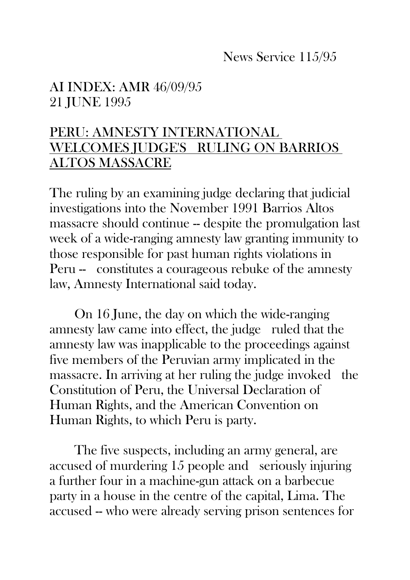## News Service 115/95

## AI INDEX: AMR 46/09/95 21 JUNE 1995

## PERU: AMNESTY INTERNATIONAL WELCOMES JUDGE'S RULING ON BARRIOS ALTOS MASSACRE

The ruling by an examining judge declaring that judicial investigations into the November 1991 Barrios Altos massacre should continue -- despite the promulgation last week of a wide-ranging amnesty law granting immunity to those responsible for past human rights violations in Peru -- constitutes a courageous rebuke of the amnesty law, Amnesty International said today.

On 16 June, the day on which the wide-ranging amnesty law came into effect, the judge ruled that the amnesty law was inapplicable to the proceedings against five members of the Peruvian army implicated in the massacre. In arriving at her ruling the judge invoked the Constitution of Peru, the Universal Declaration of Human Rights, and the American Convention on Human Rights, to which Peru is party.

The five suspects, including an army general, are accused of murdering 15 people and seriously injuring a further four in a machine-gun attack on a barbecue party in a house in the centre of the capital, Lima. The accused -- who were already serving prison sentences for